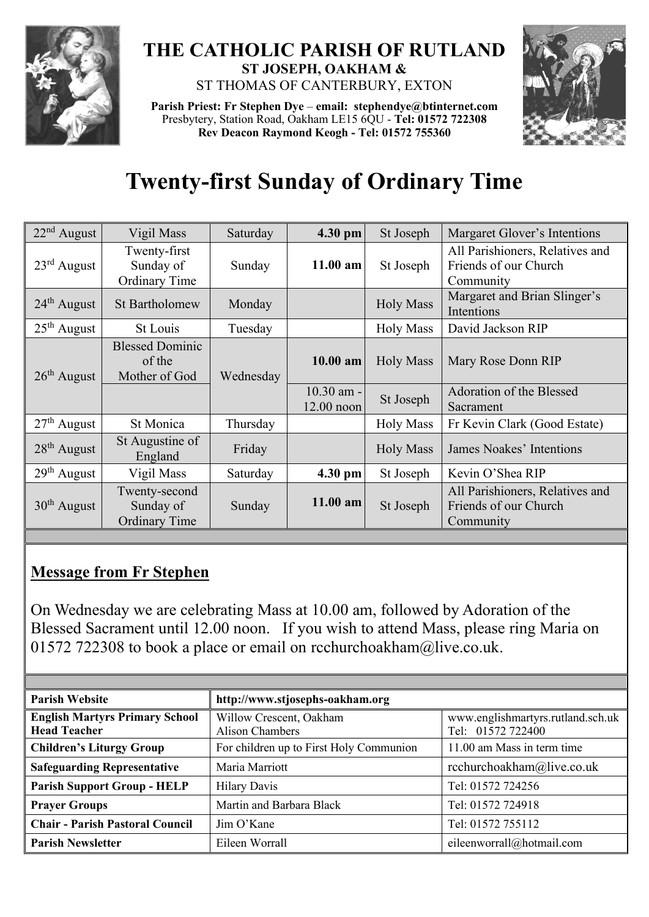

## **THE CATHOLIC PARISH OF RUTLAND ST JOSEPH, OAKHAM &**  ST THOMAS OF CANTERBURY, EXTON

**Parish Priest: Fr Stephen Dye** – **[email: stephendye@btinternet.com](mailto:email:%20%20stephendye@btinternet.com)** Presbytery, Station Road, Oakham LE15 6QU - **Tel: 01572 722308 Rev Deacon Raymond Keogh - Tel: 01572 755360**



## **Twenty-first Sunday of Ordinary Time**

| $22nd$ August | Vigil Mass                                         | Saturday  | 4.30 pm                      | St Joseph        | Margaret Glover's Intentions                                          |
|---------------|----------------------------------------------------|-----------|------------------------------|------------------|-----------------------------------------------------------------------|
| $23rd$ August | Twenty-first<br>Sunday of<br><b>Ordinary Time</b>  | Sunday    | $11.00$ am                   | St Joseph        | All Parishioners, Relatives and<br>Friends of our Church<br>Community |
| $24th$ August | <b>St Bartholomew</b>                              | Monday    |                              | <b>Holy Mass</b> | Margaret and Brian Slinger's<br>Intentions                            |
| $25th$ August | St Louis                                           | Tuesday   |                              | <b>Holy Mass</b> | David Jackson RIP                                                     |
| $26th$ August | <b>Blessed Dominic</b><br>of the<br>Mother of God  | Wednesday | $10.00$ am                   | <b>Holy Mass</b> | Mary Rose Donn RIP                                                    |
|               |                                                    |           | $10.30$ am -<br>$12.00$ noon | St Joseph        | Adoration of the Blessed<br>Sacrament                                 |
| $27th$ August | St Monica                                          | Thursday  |                              | <b>Holy Mass</b> | Fr Kevin Clark (Good Estate)                                          |
| $28th$ August | St Augustine of<br>England                         | Friday    |                              | <b>Holy Mass</b> | James Noakes' Intentions                                              |
| $29th$ August | Vigil Mass                                         | Saturday  | 4.30 pm                      | St Joseph        | Kevin O'Shea RIP                                                      |
| $30th$ August | Twenty-second<br>Sunday of<br><b>Ordinary Time</b> | Sunday    | $11.00$ am                   | St Joseph        | All Parishioners, Relatives and<br>Friends of our Church<br>Community |

## **Message from Fr Stephen**

On Wednesday we are celebrating Mass at 10.00 am, followed by Adoration of the Blessed Sacrament until 12.00 noon. If you wish to attend Mass, please ring Maria on 01572 722308 to book a place or email on [rcchurchoakham@live.co.uk.](mailto:rcchurchoakham@live.co.uk)

| <b>Parish Website</b>                                        | http://www.stjosephs-oakham.org                   |                                                        |  |  |
|--------------------------------------------------------------|---------------------------------------------------|--------------------------------------------------------|--|--|
| <b>English Martyrs Primary School</b><br><b>Head Teacher</b> | Willow Crescent, Oakham<br><b>Alison Chambers</b> | www.englishmartyrs.rutland.sch.uk<br>Tel: 01572 722400 |  |  |
| <b>Children's Liturgy Group</b>                              | For children up to First Holy Communion           | 11.00 am Mass in term time                             |  |  |
| <b>Safeguarding Representative</b>                           | Maria Marriott                                    | rcchurchoakham@live.co.uk                              |  |  |
| <b>Parish Support Group - HELP</b>                           | <b>Hilary Davis</b>                               | Tel: 01572 724256                                      |  |  |
| <b>Prayer Groups</b>                                         | Martin and Barbara Black                          | Tel: 01572 724918                                      |  |  |
| <b>Chair - Parish Pastoral Council</b>                       | Jim O'Kane                                        | Tel: 01572 755112                                      |  |  |
| <b>Parish Newsletter</b>                                     | Eileen Worrall                                    | eileenworrall@hotmail.com                              |  |  |